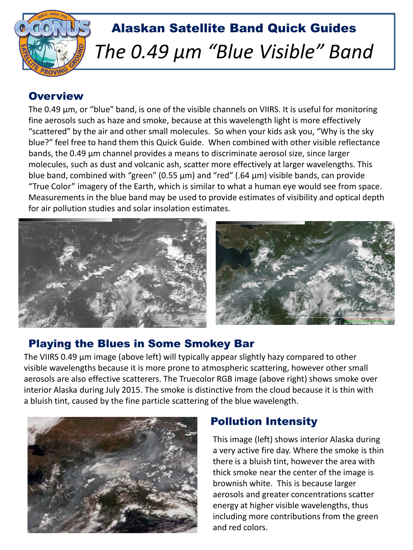

# Alaskan Satellite Band Quick Guides *The 0.49 µm "Blue Visible" Band*

## **Overview**

The 0.49 µm, or "blue" band, is one of the visible channels on VIIRS. It is useful for monitoring fine aerosols such as haze and smoke, because at this wavelength light is more effectively "scattered" by the air and other small molecules. So when your kids ask you, "Why is the sky blue?" feel free to hand them this Quick Guide. When combined with other visible reflectance bands, the 0.49 µm channel provides a means to discriminate aerosol size, since larger molecules, such as dust and volcanic ash, scatter more effectively at larger wavelengths. This blue band, combined with "green" (0.55  $\mu$ m) and "red" (.64  $\mu$ m) visible bands, can provide "True Color" imagery of the Earth, which is similar to what a human eye would see from space. Measurements in the blue band may be used to provide estimates of visibility and optical depth for air pollution studies and solar insolation estimates.



## Playing the Blues in Some Smokey Bar

The VIIRS 0.49 µm image (above left) will typically appear slightly hazy compared to other visible wavelengths because it is more prone to atmospheric scattering, however other small aerosols are also effective scatterers. The Truecolor RGB image (above right) shows smoke over interior Alaska during July 2015. The smoke is distinctive from the cloud because it is thin with a bluish tint, caused by the fine particle scattering of the blue wavelength.



## Pollution Intensity

This image (left) shows interior Alaska during a very active fire day. Where the smoke is thin there is a bluish tint, however the area with thick smoke near the center of the image is brownish white. This is because larger aerosols and greater concentrations scatter energy at higher visible wavelengths, thus including more contributions from the green and red colors.